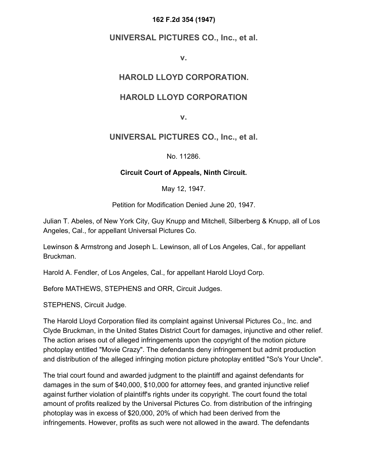#### **162 F.2d 354 (1947)**

## **UNIVERSAL PICTURES CO., Inc., et al.**

**v.**

## **HAROLD LLOYD CORPORATION.**

## **HAROLD LLOYD CORPORATION**

**v.**

## **UNIVERSAL PICTURES CO., Inc., et al.**

No. 11286.

#### **Circuit Court of Appeals, Ninth Circuit.**

May 12, 1947.

Petition for Modification Denied June 20, 1947.

Julian T. Abeles, of New York City, Guy Knupp and Mitchell, Silberberg & Knupp, all of Los Angeles, Cal., for appellant Universal Pictures Co.

Lewinson & Armstrong and Joseph L. Lewinson, all of Los Angeles, Cal., for appellant Bruckman.

Harold A. Fendler, of Los Angeles, Cal., for appellant Harold Lloyd Corp.

Before MATHEWS, STEPHENS and ORR, Circuit Judges.

STEPHENS, Circuit Judge.

The Harold Lloyd Corporation filed its complaint against Universal Pictures Co., Inc. and Clyde Bruckman, in the United States District Court for damages, injunctive and other relief. The action arises out of alleged infringements upon the copyright of the motion picture photoplay entitled "Movie Crazy". The defendants deny infringement but admit production and distribution of the alleged infringing motion picture photoplay entitled "So's Your Uncle".

The trial court found and awarded judgment to the plaintiff and against defendants for damages in the sum of \$40,000, \$10,000 for attorney fees, and granted injunctive relief against further violation of plaintiff's rights under its copyright. The court found the total amount of profits realized by the Universal Pictures Co. from distribution of the infringing photoplay was in excess of \$20,000, 20% of which had been derived from the infringements. However, profits as such were not allowed in the award. The defendants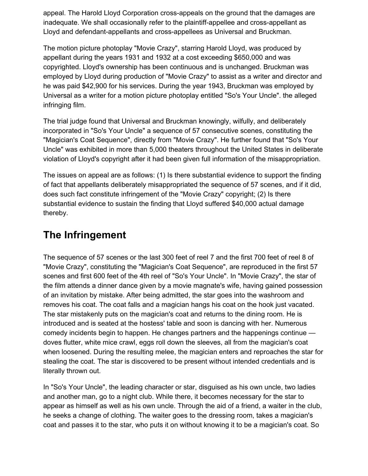appeal. The Harold Lloyd Corporation cross-appeals on the ground that the damages are inadequate. We shall occasionally refer to the plaintiff-appellee and cross-appellant as Lloyd and defendant-appellants and cross-appellees as Universal and Bruckman.

The motion picture photoplay "Movie Crazy", starring Harold Lloyd, was produced by appellant during the years 1931 and 1932 at a cost exceeding \$650,000 and was copyrighted. Lloyd's ownership has been continuous and is unchanged. Bruckman was employed by Lloyd during production of "Movie Crazy" to assist as a writer and director and he was paid \$42,900 for his services. During the year 1943, Bruckman was employed by Universal as a writer for a motion picture photoplay entitled "So's Your Uncle". the alleged infringing film.

The trial judge found that Universal and Bruckman knowingly, wilfully, and deliberately incorporated in "So's Your Uncle" a sequence of 57 consecutive scenes, constituting the "Magician's Coat Sequence", directly from "Movie Crazy". He further found that "So's Your Uncle" was exhibited in more than 5,000 theaters throughout the United States in deliberate violation of Lloyd's copyright after it had been given full information of the misappropriation.

The issues on appeal are as follows: (1) Is there substantial evidence to support the finding of fact that appellants deliberately misappropriated the sequence of 57 scenes, and if it did, does such fact constitute infringement of the "Movie Crazy" copyright; (2) Is there substantial evidence to sustain the finding that Lloyd suffered \$40,000 actual damage thereby.

# **The Infringement**

The sequence of 57 scenes or the last 300 feet of reel 7 and the first 700 feet of reel 8 of "Movie Crazy", constituting the "Magician's Coat Sequence", are reproduced in the first 57 scenes and first 600 feet of the 4th reel of "So's Your Uncle". In "Movie Crazy", the star of the film attends a dinner dance given by a movie magnate's wife, having gained possession of an invitation by mistake. After being admitted, the star goes into the washroom and removes his coat. The coat falls and a magician hangs his coat on the hook just vacated. The star mistakenly puts on the magician's coat and returns to the dining room. He is introduced and is seated at the hostess' table and soon is dancing with her. Numerous comedy incidents begin to happen. He changes partners and the happenings continue doves flutter, white mice crawl, eggs roll down the sleeves, all from the magician's coat when loosened. During the resulting melee, the magician enters and reproaches the star for stealing the coat. The star is discovered to be present without intended credentials and is literally thrown out.

In "So's Your Uncle", the leading character or star, disguised as his own uncle, two ladies and another man, go to a night club. While there, it becomes necessary for the star to appear as himself as well as his own uncle. Through the aid of a friend, a waiter in the club, he seeks a change of clothing. The waiter goes to the dressing room, takes a magician's coat and passes it to the star, who puts it on without knowing it to be a magician's coat. So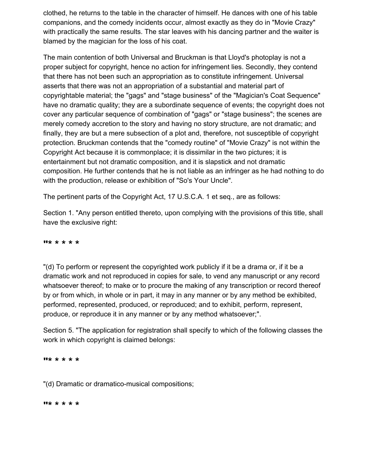clothed, he returns to the table in the character of himself. He dances with one of his table companions, and the comedy incidents occur, almost exactly as they do in "Movie Crazy" with practically the same results. The star leaves with his dancing partner and the waiter is blamed by the magician for the loss of his coat.

The main contention of both Universal and Bruckman is that Lloyd's photoplay is not a proper subject for copyright, hence no action for infringement lies. Secondly, they contend that there has not been such an appropriation as to constitute infringement. Universal asserts that there was not an appropriation of a substantial and material part of copyrightable material; the "gags" and "stage business" of the "Magician's Coat Sequence" have no dramatic quality; they are a subordinate sequence of events; the copyright does not cover any particular sequence of combination of "gags" or "stage business"; the scenes are merely comedy accretion to the story and having no story structure, are not dramatic; and finally, they are but a mere subsection of a plot and, therefore, not susceptible of copyright protection. Bruckman contends that the "comedy routine" of "Movie Crazy" is not within the Copyright Act because it is commonplace; it is dissimilar in the two pictures; it is entertainment but not dramatic composition, and it is slapstick and not dramatic composition. He further contends that he is not liable as an infringer as he had nothing to do with the production, release or exhibition of "So's Your Uncle".

The pertinent parts of the Copyright Act, 17 U.S.C.A. 1 et seq., are as follows:

Section 1. "Any person entitled thereto, upon complying with the provisions of this title, shall have the exclusive right:

#### **"\* \* \* \* \***

"(d) To perform or represent the copyrighted work publicly if it be a drama or, if it be a dramatic work and not reproduced in copies for sale, to vend any manuscript or any record whatsoever thereof; to make or to procure the making of any transcription or record thereof by or from which, in whole or in part, it may in any manner or by any method be exhibited, performed, represented, produced, or reproduced; and to exhibit, perform, represent, produce, or reproduce it in any manner or by any method whatsoever;".

Section 5. "The application for registration shall specify to which of the following classes the work in which copyright is claimed belongs:

**"\* \* \* \* \***

"(d) Dramatic or dramatico-musical compositions;

**"\* \* \* \* \***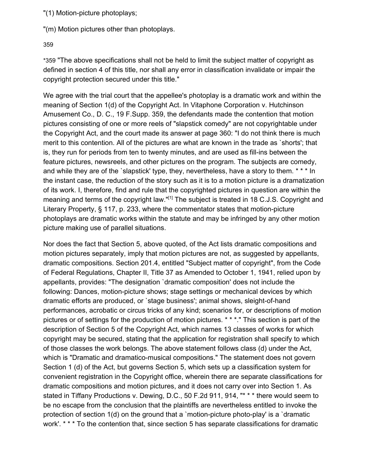"(1) Motion-picture photoplays;

"(m) Motion pictures other than photoplays.

35[9](https://scholar.google.com/scholar_case?case=10760655899099210600&q=universal+pictures&hl=en&as_sdt=6,33#p359)

\*359 "The above specifications shall not be held to limit the subject matter of copyright as defined in section 4 of this title, nor shall any error in classification invalidate or impair the copyright protection secured under this title."

We agree with the trial court that the appellee's photoplay is a dramatic work and within the meaning of Section 1(d) of the Copyright Act. In Vitaphone Corporation v. Hutchinson Amusement Co., D. C., 19 F.Supp. 359, the defendants made the contention that motion pictures consisting of one or more reels of "slapstick comedy" are not copyrightable under the Copyright Act, and the court made its answer at page 360: "I do not think there is much merit to this contention. All of the pictures are what are known in the trade as `shorts'; that is, they run for periods from ten to twenty minutes, and are used as fill-ins between the feature pictures, newsreels, and other pictures on the program. The subjects are comedy, and while they are of the `slapstick' type, they, nevertheless, have a story to them. \* \* \* In the instant case, the reduction of the story such as it is to a motion picture is a dramatization of its work. I, therefore, find and rule that the copyrighted pictures in question are within the meaning and terms of the copyright law."<sup>[1]</sup> The subject is treated in 18 C.J.S. Copyright and Literary Property, § 117, p. 233, where the commentator states that motion-picture photoplays are dramatic works within the statute and may be infringed by any other motion picture making use of parallel situations.

Nor does the fact that Section 5, above quoted, of the Act lists dramatic compositions and motion pictures separately, imply that motion pictures are not, as suggested by appellants, dramatic compositions. Section 201.4, entitled "Subject matter of copyright", from the Code of Federal Regulations, Chapter II, Title 37 as Amended to October 1, 1941, relied upon by appellants, provides: "The designation `dramatic composition' does not include the following: Dances, motion-picture shows; stage settings or mechanical devices by which dramatic efforts are produced, or `stage business'; animal shows, sleight-of-hand performances, acrobatic or circus tricks of any kind; scenarios for, or descriptions of motion pictures or of settings for the production of motion pictures. \* \* \*." This section is part of the description of Section 5 of the Copyright Act, which names 13 classes of works for which copyright may be secured, stating that the application for registration shall specify to which of those classes the work belongs. The above statement follows class (d) under the Act, which is "Dramatic and dramatico-musical compositions." The statement does not govern Section 1 (d) of the Act, but governs Section 5, which sets up a classification system for convenient registration in the Copyright office, wherein there are separate classifications for dramatic compositions and motion pictures, and it does not carry over into Section 1. As stated in Tiffany Productions v. Dewing, D.C., 50 F.2d 911, 914, "\* \* \* there would seem to be no escape from the conclusion that the plaintiffs are nevertheless entitled to invoke the protection of section 1(d) on the ground that a `motion-picture photo-play' is a `dramatic work'. \* \* \* To the contention that, since section 5 has separate classifications for dramatic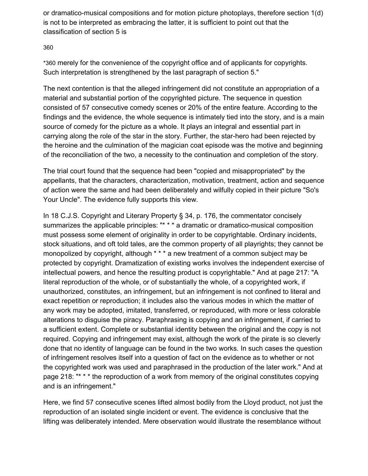or dramatico-musical compositions and for motion picture photoplays, therefore section 1(d) is not to be interpreted as embracing the latter, it is sufficient to point out that the classification of section 5 is

#### 36[0](https://scholar.google.com/scholar_case?case=10760655899099210600&q=universal+pictures&hl=en&as_sdt=6,33#p360)

\*360 merely for the convenience of the copyright office and of applicants for copyrights. Such interpretation is strengthened by the last paragraph of section 5."

The next contention is that the alleged infringement did not constitute an appropriation of a material and substantial portion of the copyrighted picture. The sequence in question consisted of 57 consecutive comedy scenes or 20% of the entire feature. According to the findings and the evidence, the whole sequence is intimately tied into the story, and is a main source of comedy for the picture as a whole. It plays an integral and essential part in carrying along the role of the star in the story. Further, the star-hero had been rejected by the heroine and the culmination of the magician coat episode was the motive and beginning of the reconciliation of the two, a necessity to the continuation and completion of the story.

The trial court found that the sequence had been "copied and misappropriated" by the appellants, that the characters, characterization, motivation, treatment, action and sequence of action were the same and had been deliberately and wilfully copied in their picture "So's Your Uncle". The evidence fully supports this view.

In 18 C.J.S. Copyright and Literary Property § 34, p. 176, the commentator concisely summarizes the applicable principles: "\* \* \* a dramatic or dramatico-musical composition must possess some element of originality in order to be copyrightable. Ordinary incidents, stock situations, and oft told tales, are the common property of all playrights; they cannot be monopolized by copyright, although \* \* \* a new treatment of a common subject may be protected by copyright. Dramatization of existing works involves the independent exercise of intellectual powers, and hence the resulting product is copyrightable." And at page 217: "A literal reproduction of the whole, or of substantially the whole, of a copyrighted work, if unauthorized, constitutes, an infringement, but an infringement is not confined to literal and exact repetition or reproduction; it includes also the various modes in which the matter of any work may be adopted, imitated, transferred, or reproduced, with more or less colorable alterations to disguise the piracy. Paraphrasing is copying and an infringement, if carried to a sufficient extent. Complete or substantial identity between the original and the copy is not required. Copying and infringement may exist, although the work of the pirate is so cleverly done that no identity of language can be found in the two works. In such cases the question of infringement resolves itself into a question of fact on the evidence as to whether or not the copyrighted work was used and paraphrased in the production of the later work." And at page 218: "\* \* \* the reproduction of a work from memory of the original constitutes copying and is an infringement."

Here, we find 57 consecutive scenes lifted almost bodily from the Lloyd product, not just the reproduction of an isolated single incident or event. The evidence is conclusive that the lifting was deliberately intended. Mere observation would illustrate the resemblance without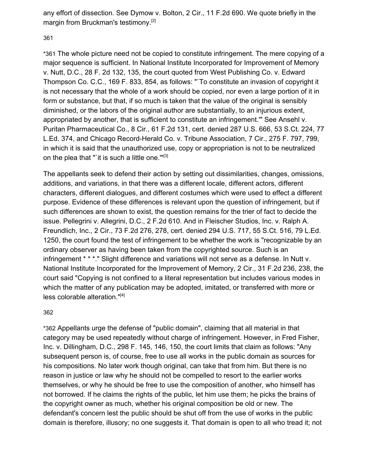any effort of dissection. See Dymow v. Bolton, 2 Cir., 11 F.2d 690. We quote briefly in the margin from Bruckman's testimony.<sup>[2]</sup>

#### 36[1](https://scholar.google.com/scholar_case?case=10760655899099210600&q=universal+pictures&hl=en&as_sdt=6,33#p361)

\*361 The whole picture need not be copied to constitute infringement. The mere copying of a major sequence is sufficient. In National Institute Incorporated for Improvement of Memory v. Nutt, D.C., 28 F. 2d 132, 135, the court quoted from West Publishing Co. v. Edward Thompson Co. C.C., 169 F. 833, 854, as follows: "`To constitute an invasion of copyright it is not necessary that the whole of a work should be copied, nor even a large portion of it in form or substance, but that, if so much is taken that the value of the original is sensibly diminished, or the labors of the original author are substantially, to an injurious extent, appropriated by another, that is sufficient to constitute an infringement.'" See Ansehl v. Puritan Pharmaceutical Co., 8 Cir., 61 F.2d 131, cert. denied 287 U.S. 666, 53 S.Ct. 224, 77 L.Ed. 374, and Chicago Record-Herald Co. v. Tribune Association, 7 Cir., 275 F. 797, 799, in which it is said that the unauthorized use, copy or appropriation is not to be neutralized on the plea that "`it is such a little one.""<sup>[3]</sup>

The appellants seek to defend their action by setting out dissimilarities, changes, omissions, additions, and variations, in that there was a different locale, different actors, different characters, different dialogues, and different costumes which were used to effect a different purpose. Evidence of these differences is relevant upon the question of infringement, but if such differences are shown to exist, the question remains for the trier of fact to decide the issue. Pellegrini v. Allegrini, D.C., 2 F.2d 610. And in Fleischer Studios, Inc. v. Ralph A. Freundlich, Inc., 2 Cir., 73 F.2d 276, 278, cert. denied 294 U.S. 717, 55 S.Ct. 516, 79 L.Ed. 1250, the court found the test of infringement to be whether the work is "recognizable by an ordinary observer as having been taken from the copyrighted source. Such is an infringement \* \* \*." Slight difference and variations will not serve as a defense. In Nutt v. National Institute Incorporated for the Improvement of Memory, 2 Cir., 31 F.2d 236, 238, the court said "Copying is not confined to a literal representation but includes various modes in which the matter of any publication may be adopted, imitated, or transferred with more or less colorable alteration."[4]

#### 36[2](https://scholar.google.com/scholar_case?case=10760655899099210600&q=universal+pictures&hl=en&as_sdt=6,33#p362)

\*362 Appellants urge the defense of "public domain", claiming that all material in that category may be used repeatedly without charge of infringement. However, in Fred Fisher, Inc. v. Dillingham, D.C., 298 F. 145, 146, 150, the court limits that claim as follows: "Any subsequent person is, of course, free to use all works in the public domain as sources for his compositions. No later work though original, can take that from him. But there is no reason in justice or law why he should not be compelled to resort to the earlier works themselves, or why he should be free to use the composition of another, who himself has not borrowed. If he claims the rights of the public, let him use them; he picks the brains of the copyright owner as much, whether his original composition be old or new. The defendant's concern lest the public should be shut off from the use of works in the public domain is therefore, illusory; no one suggests it. That domain is open to all who tread it; not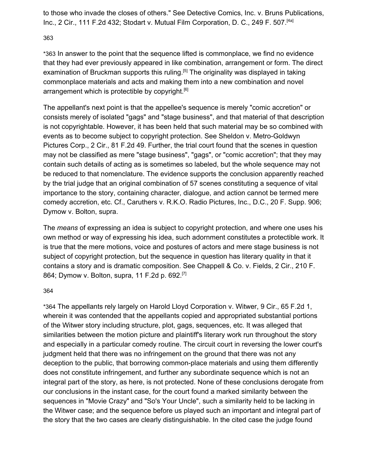to those who invade the closes of others." See Detective Comics, Inc. v. Bruns Publications, Inc., 2 Cir., 111 F.2d 432; Stodart v. Mutual Film Corporation, D. C., 249 F. 507.<sup>[4a]</sup>

36[3](https://scholar.google.com/scholar_case?case=10760655899099210600&q=universal+pictures&hl=en&as_sdt=6,33#p363)

\*363 In answer to the point that the sequence lifted is commonplace, we find no evidence that they had ever previously appeared in like combination, arrangement or form. The direct examination of Bruckman supports this ruling.<sup>[5]</sup> The originality was displayed in taking commonplace materials and acts and making them into a new combination and novel arrangement which is protectible by copyright.<sup>[6]</sup>

The appellant's next point is that the appellee's sequence is merely "comic accretion" or consists merely of isolated "gags" and "stage business", and that material of that description is not copyrightable. However, it has been held that such material may be so combined with events as to become subject to copyright protection. See Sheldon v. Metro-Goldwyn Pictures Corp., 2 Cir., 81 F.2d 49. Further, the trial court found that the scenes in question may not be classified as mere "stage business", "gags", or "comic accretion"; that they may contain such details of acting as is sometimes so labeled, but the whole sequence may not be reduced to that nomenclature. The evidence supports the conclusion apparently reached by the trial judge that an original combination of 57 scenes constituting a sequence of vital importance to the story, containing character, dialogue, and action cannot be termed mere comedy accretion, etc. Cf., Caruthers v. R.K.O. Radio Pictures, Inc., D.C., 20 F. Supp. 906; Dymow v. Bolton, supra.

The *means* of expressing an idea is subject to copyright protection, and where one uses his own method or way of expressing his idea, such adornment constitutes a protectible work. It is true that the mere motions, voice and postures of actors and mere stage business is not subject of copyright protection, but the sequence in question has literary quality in that it contains a story and is dramatic composition. See Chappell & Co. v. Fields, 2 Cir., 210 F. 864; Dymow v. Bolton, supra, 11 F.2d p. 692.<sup>[7]</sup>

#### 36[4](https://scholar.google.com/scholar_case?case=10760655899099210600&q=universal+pictures&hl=en&as_sdt=6,33#p364)

\*364 The appellants rely largely on Harold Lloyd Corporation v. Witwer, 9 Cir., 65 F.2d 1, wherein it was contended that the appellants copied and appropriated substantial portions of the Witwer story including structure, plot, gags, sequences, etc. It was alleged that similarities between the motion picture and plaintiff's literary work run throughout the story and especially in a particular comedy routine. The circuit court in reversing the lower court's judgment held that there was no infringement on the ground that there was not any deception to the public, that borrowing common-place materials and using them differently does not constitute infringement, and further any subordinate sequence which is not an integral part of the story, as here, is not protected. None of these conclusions derogate from our conclusions in the instant case, for the court found a marked similarity between the sequences in "Movie Crazy" and "So's Your Uncle", such a similarity held to be lacking in the Witwer case; and the sequence before us played such an important and integral part of the story that the two cases are clearly distinguishable. In the cited case the judge found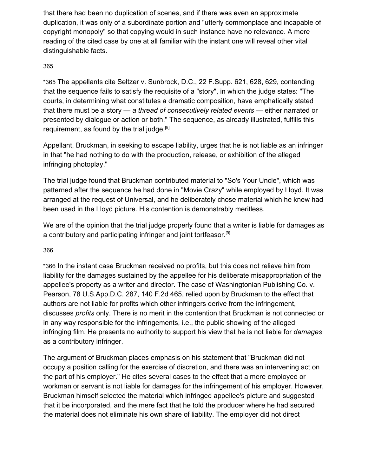that there had been no duplication of scenes, and if there was even an approximate duplication, it was only of a subordinate portion and "utterly commonplace and incapable of copyright monopoly" so that copying would in such instance have no relevance. A mere reading of the cited case by one at all familiar with the instant one will reveal other vital distinguishable facts.

#### 36[5](https://scholar.google.com/scholar_case?case=10760655899099210600&q=universal+pictures&hl=en&as_sdt=6,33#p365)

\*365 The appellants cite Seltzer v. Sunbrock, D.C., 22 F.Supp. 621, 628, 629, contending that the sequence fails to satisfy the requisite of a "story", in which the judge states: "The courts, in determining what constitutes a dramatic composition, have emphatically stated that there must be a story — *a thread of consecutively related events* — either narrated or presented by dialogue or action or both." The sequence, as already illustrated, fulfills this requirement, as found by the trial judge.<sup>[8]</sup>

Appellant, Bruckman, in seeking to escape liability, urges that he is not liable as an infringer in that "he had nothing to do with the production, release, or exhibition of the alleged infringing photoplay."

The trial judge found that Bruckman contributed material to "So's Your Uncle", which was patterned after the sequence he had done in "Movie Crazy" while employed by Lloyd. It was arranged at the request of Universal, and he deliberately chose material which he knew had been used in the Lloyd picture. His contention is demonstrably meritless.

We are of the opinion that the trial judge properly found that a writer is liable for damages as a contributory and participating infringer and joint tortfeasor.<sup>[9]</sup>

#### 36[6](https://scholar.google.com/scholar_case?case=10760655899099210600&q=universal+pictures&hl=en&as_sdt=6,33#p366)

\*366 In the instant case Bruckman received no profits, but this does not relieve him from liability for the damages sustained by the appellee for his deliberate misappropriation of the appellee's property as a writer and director. The case of Washingtonian Publishing Co. v. Pearson, 78 U.S.App.D.C. 287, 140 F.2d 465, relied upon by Bruckman to the effect that authors are not liable for profits which other infringers derive from the infringement, discusses *profits* only. There is no merit in the contention that Bruckman is not connected or in any way responsible for the infringements, i.e., the public showing of the alleged infringing film. He presents no authority to support his view that he is not liable for *damages* as a contributory infringer.

The argument of Bruckman places emphasis on his statement that "Bruckman did not occupy a position calling for the exercise of discretion, and there was an intervening act on the part of his employer." He cites several cases to the effect that a mere employee or workman or servant is not liable for damages for the infringement of his employer. However, Bruckman himself selected the material which infringed appellee's picture and suggested that it be incorporated, and the mere fact that he told the producer where he had secured the material does not eliminate his own share of liability. The employer did not direct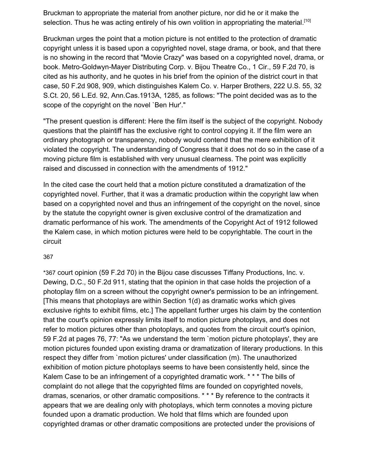Bruckman to appropriate the material from another picture, nor did he or it make the selection. Thus he was acting entirely of his own volition in appropriating the material.<sup>[10]</sup>

Bruckman urges the point that a motion picture is not entitled to the protection of dramatic copyright unless it is based upon a copyrighted novel, stage drama, or book, and that there is no showing in the record that "Movie Crazy" was based on a copyrighted novel, drama, or book. Metro-Goldwyn-Mayer Distributing Corp. v. Bijou Theatre Co., 1 Cir., 59 F.2d 70, is cited as his authority, and he quotes in his brief from the opinion of the district court in that case, 50 F.2d 908, 909, which distinguishes Kalem Co. v. Harper Brothers, 222 U.S. 55, 32 S.Ct. 20, 56 L.Ed. 92, Ann.Cas.1913A, 1285, as follows: "The point decided was as to the scope of the copyright on the novel 'Ben Hur'."

"The present question is different: Here the film itself is the subject of the copyright. Nobody questions that the plaintiff has the exclusive right to control copying it. If the film were an ordinary photograph or transparency, nobody would contend that the mere exhibition of it violated the copyright. The understanding of Congress that it does not do so in the case of a moving picture film is established with very unusual clearness. The point was explicitly raised and discussed in connection with the amendments of 1912."

In the cited case the court held that a motion picture constituted a dramatization of the copyrighted novel. Further, that it was a dramatic production within the copyright law when based on a copyrighted novel and thus an infringement of the copyright on the novel, since by the statute the copyright owner is given exclusive control of the dramatization and dramatic performance of his work. The amendments of the Copyright Act of 1912 followed the Kalem case, in which motion pictures were held to be copyrightable. The court in the circuit

#### 36[7](https://scholar.google.com/scholar_case?case=10760655899099210600&q=universal+pictures&hl=en&as_sdt=6,33#p367)

\*367 court opinion (59 F.2d 70) in the Bijou case discusses Tiffany Productions, Inc. v. Dewing, D.C., 50 F.2d 911, stating that the opinion in that case holds the projection of a photoplay film on a screen without the copyright owner's permission to be an infringement. [This means that photoplays are within Section 1(d) as dramatic works which gives exclusive rights to exhibit films, etc.] The appellant further urges his claim by the contention that the court's opinion expressly limits itself to motion picture photoplays, and does not refer to motion pictures other than photoplays, and quotes from the circuit court's opinion, 59 F.2d at pages 76, 77: "As we understand the term `motion picture photoplays', they are motion pictures founded upon existing drama or dramatization of literary productions. In this respect they differ from `motion pictures' under classification (m). The unauthorized exhibition of motion picture photoplays seems to have been consistently held, since the Kalem Case to be an infringement of a copyrighted dramatic work. \* \* \* The bills of complaint do not allege that the copyrighted films are founded on copyrighted novels, dramas, scenarios, or other dramatic compositions. \* \* \* By reference to the contracts it appears that we are dealing only with photoplays, which term connotes a moving picture founded upon a dramatic production. We hold that films which are founded upon copyrighted dramas or other dramatic compositions are protected under the provisions of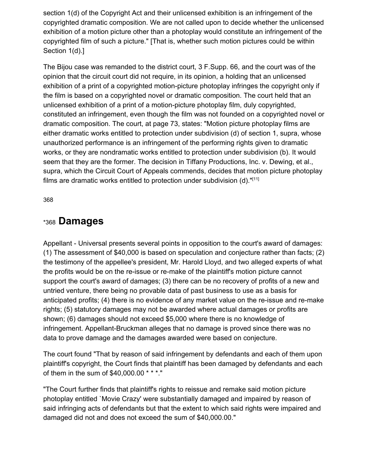section 1(d) of the Copyright Act and their unlicensed exhibition is an infringement of the copyrighted dramatic composition. We are not called upon to decide whether the unlicensed exhibition of a motion picture other than a photoplay would constitute an infringement of the copyrighted film of such a picture." [That is, whether such motion pictures could be within Section 1(d).]

The Bijou case was remanded to the district court, 3 F.Supp. 66, and the court was of the opinion that the circuit court did not require, in its opinion, a holding that an unlicensed exhibition of a print of a copyrighted motion-picture photoplay infringes the copyright only if the film is based on a copyrighted novel or dramatic composition. The court held that an unlicensed exhibition of a print of a motion-picture photoplay film, duly copyrighted, constituted an infringement, even though the film was not founded on a copyrighted novel or dramatic composition. The court, at page 73, states: "Motion picture photoplay films are either dramatic works entitled to protection under subdivision (d) of section 1, supra, whose unauthorized performance is an infringement of the performing rights given to dramatic works, or they are nondramatic works entitled to protection under subdivision (b). It would seem that they are the former. The decision in Tiffany Productions, Inc. v. Dewing, et al., supra, which the Circuit Court of Appeals commends, decides that motion picture photoplay films are dramatic works entitled to protection under subdivision (d)." $[11]$ 

36[8](https://scholar.google.com/scholar_case?case=10760655899099210600&q=universal+pictures&hl=en&as_sdt=6,33#p368)

## \*368 **Damages**

Appellant - Universal presents several points in opposition to the court's award of damages: (1) The assessment of \$40,000 is based on speculation and conjecture rather than facts; (2) the testimony of the appellee's president, Mr. Harold Lloyd, and two alleged experts of what the profits would be on the re-issue or re-make of the plaintiff's motion picture cannot support the court's award of damages; (3) there can be no recovery of profits of a new and untried venture, there being no provable data of past business to use as a basis for anticipated profits; (4) there is no evidence of any market value on the re-issue and re-make rights; (5) statutory damages may not be awarded where actual damages or profits are shown; (6) damages should not exceed \$5,000 where there is no knowledge of infringement. Appellant-Bruckman alleges that no damage is proved since there was no data to prove damage and the damages awarded were based on conjecture.

The court found "That by reason of said infringement by defendants and each of them upon plaintiff's copyright, the Court finds that plaintiff has been damaged by defendants and each of them in the sum of \$40,000.00 \* \* \*."

"The Court further finds that plaintiff's rights to reissue and remake said motion picture photoplay entitled `Movie Crazy' were substantially damaged and impaired by reason of said infringing acts of defendants but that the extent to which said rights were impaired and damaged did not and does not exceed the sum of \$40,000.00."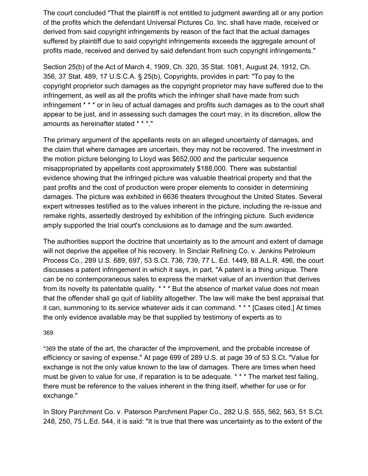The court concluded "That the plaintiff is not entitled to judgment awarding all or any portion of the profits which the defendant Universal Pictures Co. Inc. shall have made, received or derived from said copyright infringements by reason of the fact that the actual damages suffered by plaintiff due to said copyright infringements exceeds the aggregate amount of profits made, received and derived by said defendant from such copyright infringements."

Section 25(b) of the Act of March 4, 1909, Ch. 320, 35 Stat. 1081, August 24, 1912, Ch. 356, 37 Stat. 489, 17 U.S.C.A. § 25(b), Copyrights, provides in part: "To pay to the copyright proprietor such damages as the copyright proprietor may have suffered due to the infringement, as well as all the profits which the infringer shall have made from such infringement \* \* \* or in lieu of actual damages and profits such damages as to the court shall appear to be just, and in assessing such damages the court may, in its discretion, allow the amounts as hereinafter stated \* \* \*."

The primary argument of the appellants rests on an alleged uncertainty of damages, and the claim that where damages are uncertain, they may not be recovered. The investment in the motion picture belonging to Lloyd was \$652,000 and the particular sequence misappropriated by appellants cost approximately \$188,000. There was substantial evidence showing that the infringed picture was valuable theatrical property and that the past profits and the cost of production were proper elements to consider in determining damages. The picture was exhibited in 6636 theaters throughout the United States. Several expert witnesses testified as to the values inherent in the picture, including the re-issue and remake rights, assertedly destroyed by exhibition of the infringing picture. Such evidence amply supported the trial court's conclusions as to damage and the sum awarded.

The authorities support the doctrine that uncertainty as to the amount and extent of damage will not deprive the appellee of his recovery. In Sinclair Refining Co. v. Jenkins Petroleum Process Co., 289 U.S. 689, 697, 53 S.Ct. 736, 739, 77 L. Ed. 1449, 88 A.L.R. 496, the court discusses a patent infringement in which it says, in part, "A patent is a thing unique. There can be no contemporaneous sales to express the market value of an invention that derives from its novelty its patentable quality. \* \* \* But the absence of market value does not mean that the offender shall go quit of liability altogether. The law will make the best appraisal that it can, summoning to its service whatever aids it can command. \* \* \* [Cases cited.] At times the only evidence available may be that supplied by testimony of experts as to

#### 36[9](https://scholar.google.com/scholar_case?case=10760655899099210600&q=universal+pictures&hl=en&as_sdt=6,33#p369)

\*369 the state of the art, the character of the improvement, and the probable increase of efficiency or saving of expense." At page 699 of 289 U.S. at page 39 of 53 S.Ct. "Value for exchange is not the only value known to the law of damages. There are times when heed must be given to value for use, if reparation is to be adequate. \*\*\* The market test failing, there must be reference to the values inherent in the thing itself, whether for use or for exchange."

In Story Parchment Co. v. Paterson Parchment Paper Co., 282 U.S. 555, 562, 563, 51 S.Ct. 248, 250, 75 L.Ed. 544, it is said: "It is true that there was uncertainty as to the extent of the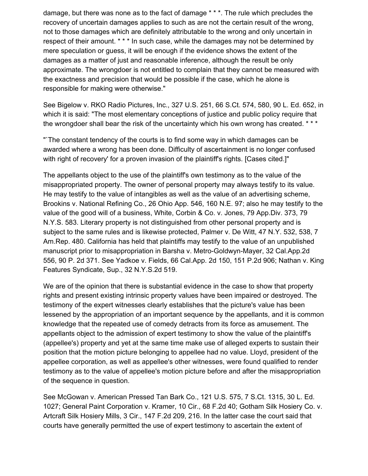damage, but there was none as to the fact of damage \* \* \*. The rule which precludes the recovery of uncertain damages applies to such as are not the certain result of the wrong, not to those damages which are definitely attributable to the wrong and only uncertain in respect of their amount. \* \* \* In such case, while the damages may not be determined by mere speculation or guess, it will be enough if the evidence shows the extent of the damages as a matter of just and reasonable inference, although the result be only approximate. The wrongdoer is not entitled to complain that they cannot be measured with the exactness and precision that would be possible if the case, which he alone is responsible for making were otherwise."

See Bigelow v. RKO Radio Pictures, Inc., 327 U.S. 251, 66 S.Ct. 574, 580, 90 L. Ed. 652, in which it is said: "The most elementary conceptions of justice and public policy require that the wrongdoer shall bear the risk of the uncertainty which his own wrong has created. \*\*\*

"`The constant tendency of the courts is to find some way in which damages can be awarded where a wrong has been done. Difficulty of ascertainment is no longer confused with right of recovery' for a proven invasion of the plaintiff's rights. [Cases cited.]"

The appellants object to the use of the plaintiff's own testimony as to the value of the misappropriated property. The owner of personal property may always testify to its value. He may testify to the value of intangibles as well as the value of an advertising scheme, Brookins v. National Refining Co., 26 Ohio App. 546, 160 N.E. 97; also he may testify to the value of the good will of a business, White, Corbin & Co. v. Jones, 79 App.Div. 373, 79 N.Y.S. 583. Literary property is not distinguished from other personal property and is subject to the same rules and is likewise protected, Palmer v. De Witt, 47 N.Y. 532, 538, 7 Am.Rep. 480. California has held that plaintiffs may testify to the value of an unpublished manuscript prior to misappropriation in Barsha v. Metro-Goldwyn-Mayer, 32 Cal.App.2d 556, 90 P. 2d 371. See Yadkoe v. Fields, 66 Cal.App. 2d 150, 151 P.2d 906; Nathan v. King Features Syndicate, Sup., 32 N.Y.S.2d 519.

We are of the opinion that there is substantial evidence in the case to show that property rights and present existing intrinsic property values have been impaired or destroyed. The testimony of the expert witnesses clearly establishes that the picture's value has been lessened by the appropriation of an important sequence by the appellants, and it is common knowledge that the repeated use of comedy detracts from its force as amusement. The appellants object to the admission of expert testimony to show the value of the plaintiff's (appellee's) property and yet at the same time make use of alleged experts to sustain their position that the motion picture belonging to appellee had no value. Lloyd, president of the appellee corporation, as well as appellee's other witnesses, were found qualified to render testimony as to the value of appellee's motion picture before and after the misappropriation of the sequence in question.

See McGowan v. American Pressed Tan Bark Co., 121 U.S. 575, 7 S.Ct. 1315, 30 L. Ed. 1027; General Paint Corporation v. Kramer, 10 Cir., 68 F.2d 40; Gotham Silk Hosiery Co. v. Artcraft Silk Hosiery Mills, 3 Cir., 147 F.2d 209, 216. In the latter case the court said that courts have generally permitted the use of expert testimony to ascertain the extent of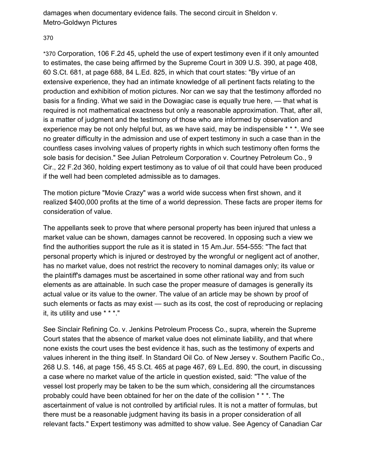damages when documentary evidence fails. The second circuit in Sheldon v. Metro-Goldwyn Pictures

#### 37[0](https://scholar.google.com/scholar_case?case=10760655899099210600&q=universal+pictures&hl=en&as_sdt=6,33#p370)

\*370 Corporation, 106 F.2d 45, upheld the use of expert testimony even if it only amounted to estimates, the case being affirmed by the Supreme Court in 309 U.S. 390, at page 408, 60 S.Ct. 681, at page 688, 84 L.Ed. 825, in which that court states: "By virtue of an extensive experience, they had an intimate knowledge of all pertinent facts relating to the production and exhibition of motion pictures. Nor can we say that the testimony afforded no basis for a finding. What we said in the Dowagiac case is equally true here, — that what is required is not mathematical exactness but only a reasonable approximation. That, after all, is a matter of judgment and the testimony of those who are informed by observation and experience may be not only helpful but, as we have said, may be indispensible \* \* \*. We see no greater difficulty in the admission and use of expert testimony in such a case than in the countless cases involving values of property rights in which such testimony often forms the sole basis for decision." See Julian Petroleum Corporation v. Courtney Petroleum Co., 9 Cir., 22 F.2d 360, holding expert testimony as to value of oil that could have been produced if the well had been completed admissible as to damages.

The motion picture "Movie Crazy" was a world wide success when first shown, and it realized \$400,000 profits at the time of a world depression. These facts are proper items for consideration of value.

The appellants seek to prove that where personal property has been injured that unless a market value can be shown, damages cannot be recovered. In opposing such a view we find the authorities support the rule as it is stated in 15 Am.Jur. 554-555: "The fact that personal property which is injured or destroyed by the wrongful or negligent act of another, has no market value, does not restrict the recovery to nominal damages only; its value or the plaintiff's damages must be ascertained in some other rational way and from such elements as are attainable. In such case the proper measure of damages is generally its actual value or its value to the owner. The value of an article may be shown by proof of such elements or facts as may exist — such as its cost, the cost of reproducing or replacing it, its utility and use \* \* \*."

See Sinclair Refining Co. v. Jenkins Petroleum Process Co., supra, wherein the Supreme Court states that the absence of market value does not eliminate liability, and that where none exists the court uses the best evidence it has, such as the testimony of experts and values inherent in the thing itself. In Standard Oil Co. of New Jersey v. Southern Pacific Co., 268 U.S. 146, at page 156, 45 S.Ct. 465 at page 467, 69 L.Ed. 890, the court, in discussing a case where no market value of the article in question existed, said: "The value of the vessel lost properly may be taken to be the sum which, considering all the circumstances probably could have been obtained for her on the date of the collision \* \* \*. The ascertainment of value is not controlled by artificial rules. It is not a matter of formulas, but there must be a reasonable judgment having its basis in a proper consideration of all relevant facts." Expert testimony was admitted to show value. See Agency of Canadian Car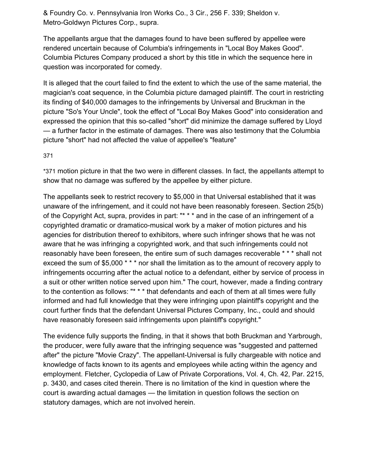& Foundry Co. v. Pennsylvania Iron Works Co., 3 Cir., 256 F. 339; Sheldon v. Metro-Goldwyn Pictures Corp., supra.

The appellants argue that the damages found to have been suffered by appellee were rendered uncertain because of Columbia's infringements in "Local Boy Makes Good". Columbia Pictures Company produced a short by this title in which the sequence here in question was incorporated for comedy.

It is alleged that the court failed to find the extent to which the use of the same material, the magician's coat sequence, in the Columbia picture damaged plaintiff. The court in restricting its finding of \$40,000 damages to the infringements by Universal and Bruckman in the picture "So's Your Uncle", took the effect of "Local Boy Makes Good" into consideration and expressed the opinion that this so-called "short" did minimize the damage suffered by Lloyd — a further factor in the estimate of damages. There was also testimony that the Columbia picture "short" had not affected the value of appellee's "feature"

#### 37[1](https://scholar.google.com/scholar_case?case=10760655899099210600&q=universal+pictures&hl=en&as_sdt=6,33#p371)

\*371 motion picture in that the two were in different classes. In fact, the appellants attempt to show that no damage was suffered by the appellee by either picture.

The appellants seek to restrict recovery to \$5,000 in that Universal established that it was unaware of the infringement, and it could not have been reasonably foreseen. Section 25(b) of the Copyright Act, supra, provides in part: "\* \* \* and in the case of an infringement of a copyrighted dramatic or dramatico-musical work by a maker of motion pictures and his agencies for distribution thereof to exhibitors, where such infringer shows that he was not aware that he was infringing a copyrighted work, and that such infringements could not reasonably have been foreseen, the entire sum of such damages recoverable \* \* \* shall not exceed the sum of \$5,000 \* \* \* nor shall the limitation as to the amount of recovery apply to infringements occurring after the actual notice to a defendant, either by service of process in a suit or other written notice served upon him." The court, however, made a finding contrary to the contention as follows: "\* \* \* that defendants and each of them at all times were fully informed and had full knowledge that they were infringing upon plaintiff's copyright and the court further finds that the defendant Universal Pictures Company, Inc., could and should have reasonably foreseen said infringements upon plaintiff's copyright."

The evidence fully supports the finding, in that it shows that both Bruckman and Yarbrough, the producer, were fully aware that the infringing sequence was "suggested and patterned after" the picture "Movie Crazy". The appellant-Universal is fully chargeable with notice and knowledge of facts known to its agents and employees while acting within the agency and employment. Fletcher, Cyclopedia of Law of Private Corporations, Vol. 4, Ch. 42, Par. 2215, p. 3430, and cases cited therein. There is no limitation of the kind in question where the court is awarding actual damages — the limitation in question follows the section on statutory damages, which are not involved herein.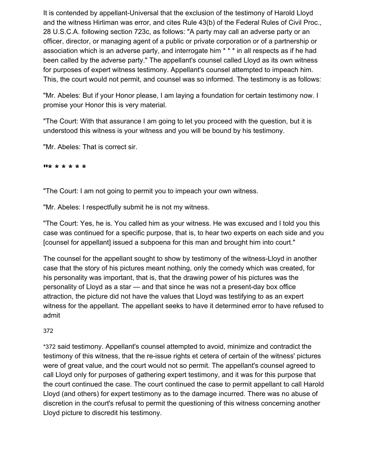It is contended by appellant-Universal that the exclusion of the testimony of Harold Lloyd and the witness Hirliman was error, and cites Rule 43(b) of the Federal Rules of Civil Proc., 28 U.S.C.A. following section 723c, as follows: "A party may call an adverse party or an officer, director, or managing agent of a public or private corporation or of a partnership or association which is an adverse party, and interrogate him \* \* \* in all respects as if he had been called by the adverse party." The appellant's counsel called Lloyd as its own witness for purposes of expert witness testimony. Appellant's counsel attempted to impeach him. This, the court would not permit, and counsel was so informed. The testimony is as follows:

"Mr. Abeles: But if your Honor please, I am laying a foundation for certain testimony now. I promise your Honor this is very material.

"The Court: With that assurance I am going to let you proceed with the question, but it is understood this witness is your witness and you will be bound by his testimony.

"Mr. Abeles: That is correct sir.

**"\* \* \* \* \* \***

"The Court: I am not going to permit you to impeach your own witness.

"Mr. Abeles: I respectfully submit he is not my witness.

"The Court: Yes, he is. You called him as your witness. He was excused and I told you this case was continued for a specific purpose, that is, to hear two experts on each side and you [counsel for appellant] issued a subpoena for this man and brought him into court."

The counsel for the appellant sought to show by testimony of the witness-Lloyd in another case that the story of his pictures meant nothing, only the comedy which was created, for his personality was important, that is, that the drawing power of his pictures was the personality of Lloyd as a star — and that since he was not a present-day box office attraction, the picture did not have the values that Lloyd was testifying to as an expert witness for the appellant. The appellant seeks to have it determined error to have refused to admit

37[2](https://scholar.google.com/scholar_case?case=10760655899099210600&q=universal+pictures&hl=en&as_sdt=6,33#p372)

\*372 said testimony. Appellant's counsel attempted to avoid, minimize and contradict the testimony of this witness, that the re-issue rights et cetera of certain of the witness' pictures were of great value, and the court would not so permit. The appellant's counsel agreed to call Lloyd only for purposes of gathering expert testimony, and it was for this purpose that the court continued the case. The court continued the case to permit appellant to call Harold Lloyd (and others) for expert testimony as to the damage incurred. There was no abuse of discretion in the court's refusal to permit the questioning of this witness concerning another Lloyd picture to discredit his testimony.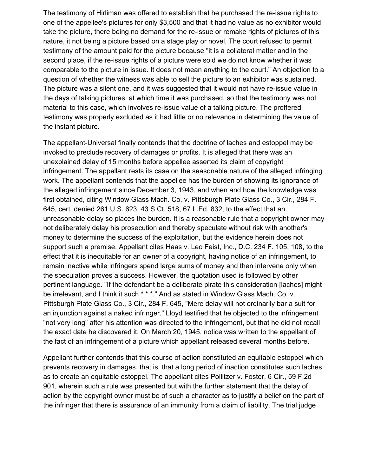The testimony of Hirliman was offered to establish that he purchased the re-issue rights to one of the appellee's pictures for only \$3,500 and that it had no value as no exhibitor would take the picture, there being no demand for the re-issue or remake rights of pictures of this nature, it not being a picture based on a stage play or novel. The court refused to permit testimony of the amount paid for the picture because "it is a collateral matter and in the second place, if the re-issue rights of a picture were sold we do not know whether it was comparable to the picture in issue. It does not mean anything to the court." An objection to a question of whether the witness was able to sell the picture to an exhibitor was sustained. The picture was a silent one, and it was suggested that it would not have re-issue value in the days of talking pictures, at which time it was purchased, so that the testimony was not material to this case, which involves re-issue value of a talking picture. The proffered testimony was properly excluded as it had little or no relevance in determining the value of the instant picture.

The appellant-Universal finally contends that the doctrine of laches and estoppel may be invoked to preclude recovery of damages or profits. It is alleged that there was an unexplained delay of 15 months before appellee asserted its claim of copyright infringement. The appellant rests its case on the seasonable nature of the alleged infringing work. The appellant contends that the appellee has the burden of showing its ignorance of the alleged infringement since December 3, 1943, and when and how the knowledge was first obtained, citing Window Glass Mach. Co. v. Pittsburgh Plate Glass Co., 3 Cir., 284 F. 645, cert. denied 261 U.S. 623, 43 S.Ct. 518, 67 L.Ed. 832, to the effect that an unreasonable delay so places the burden. It is a reasonable rule that a copyright owner may not deliberately delay his prosecution and thereby speculate without risk with another's money to determine the success of the exploitation, but the evidence herein does not support such a premise. Appellant cites Haas v. Leo Feist, Inc., D.C. 234 F. 105, 108, to the effect that it is inequitable for an owner of a copyright, having notice of an infringement, to remain inactive while infringers spend large sums of money and then intervene only when the speculation proves a success. However, the quotation used is followed by other pertinent language. "If the defendant be a deliberate pirate this consideration [laches] might be irrelevant, and I think it such \* \* \*." And as stated in Window Glass Mach. Co. v. Pittsburgh Plate Glass Co., 3 Cir., 284 F. 645, "Mere delay will not ordinarily bar a suit for an injunction against a naked infringer." Lloyd testified that he objected to the infringement "not very long" after his attention was directed to the infringement, but that he did not recall the exact date he discovered it. On March 20, 1945, notice was written to the appellant of the fact of an infringement of a picture which appellant released several months before.

Appellant further contends that this course of action constituted an equitable estoppel which prevents recovery in damages, that is, that a long period of inaction constitutes such laches as to create an equitable estoppel. The appellant cites Pollitzer v. Foster, 6 Cir., 59 F.2d 901, wherein such a rule was presented but with the further statement that the delay of action by the copyright owner must be of such a character as to justify a belief on the part of the infringer that there is assurance of an immunity from a claim of liability. The trial judge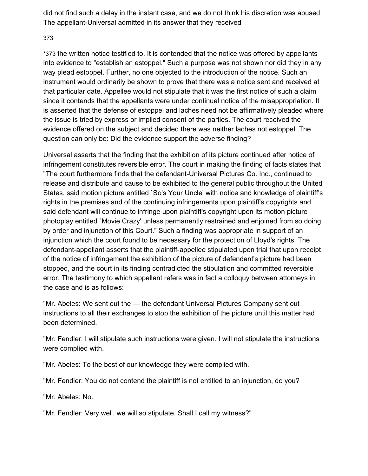did not find such a delay in the instant case, and we do not think his discretion was abused. The appellant-Universal admitted in its answer that they received

37[3](https://scholar.google.com/scholar_case?case=10760655899099210600&q=universal+pictures&hl=en&as_sdt=6,33#p373)

\*373 the written notice testified to. It is contended that the notice was offered by appellants into evidence to "establish an estoppel." Such a purpose was not shown nor did they in any way plead estoppel. Further, no one objected to the introduction of the notice. Such an instrument would ordinarily be shown to prove that there was a notice sent and received at that particular date. Appellee would not stipulate that it was the first notice of such a claim since it contends that the appellants were under continual notice of the misappropriation. It is asserted that the defense of estoppel and laches need not be affirmatively pleaded where the issue is tried by express or implied consent of the parties. The court received the evidence offered on the subject and decided there was neither laches not estoppel. The question can only be: Did the evidence support the adverse finding?

Universal asserts that the finding that the exhibition of its picture continued after notice of infringement constitutes reversible error. The court in making the finding of facts states that "The court furthermore finds that the defendant-Universal Pictures Co. Inc., continued to release and distribute and cause to be exhibited to the general public throughout the United States, said motion picture entitled `So's Your Uncle' with notice and knowledge of plaintiff's rights in the premises and of the continuing infringements upon plaintiff's copyrights and said defendant will continue to infringe upon plaintiff's copyright upon its motion picture photoplay entitled `Movie Crazy' unless permanently restrained and enjoined from so doing by order and injunction of this Court." Such a finding was appropriate in support of an injunction which the court found to be necessary for the protection of Lloyd's rights. The defendant-appellant asserts that the plaintiff-appellee stipulated upon trial that upon receipt of the notice of infringement the exhibition of the picture of defendant's picture had been stopped, and the court in its finding contradicted the stipulation and committed reversible error. The testimony to which appellant refers was in fact a colloquy between attorneys in the case and is as follows:

"Mr. Abeles: We sent out the — the defendant Universal Pictures Company sent out instructions to all their exchanges to stop the exhibition of the picture until this matter had been determined.

"Mr. Fendler: I will stipulate such instructions were given. I will not stipulate the instructions were complied with.

"Mr. Abeles: To the best of our knowledge they were complied with.

"Mr. Fendler: You do not contend the plaintiff is not entitled to an injunction, do you?

"Mr. Abeles: No.

"Mr. Fendler: Very well, we will so stipulate. Shall I call my witness?"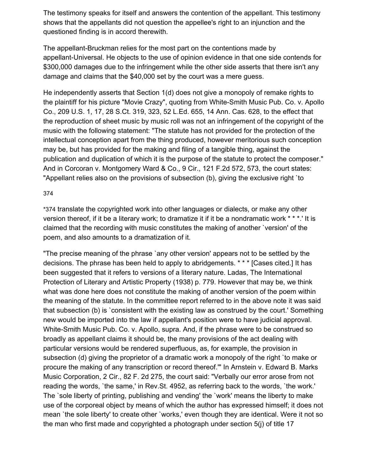The testimony speaks for itself and answers the contention of the appellant. This testimony shows that the appellants did not question the appellee's right to an injunction and the questioned finding is in accord therewith.

The appellant-Bruckman relies for the most part on the contentions made by appellant-Universal. He objects to the use of opinion evidence in that one side contends for \$300,000 damages due to the infringement while the other side asserts that there isn't any damage and claims that the \$40,000 set by the court was a mere guess.

He independently asserts that Section 1(d) does not give a monopoly of remake rights to the plaintiff for his picture "Movie Crazy", quoting from White-Smith Music Pub. Co. v. Apollo Co., 209 U.S. 1, 17, 28 S.Ct. 319, 323, 52 L.Ed. 655, 14 Ann. Cas. 628, to the effect that the reproduction of sheet music by music roll was not an infringement of the copyright of the music with the following statement: "The statute has not provided for the protection of the intellectual conception apart from the thing produced, however meritorious such conception may be, but has provided for the making and filing of a tangible thing, against the publication and duplication of which it is the purpose of the statute to protect the composer." And in Corcoran v. Montgomery Ward & Co., 9 Cir., 121 F.2d 572, 573, the court states: "Appellant relies also on the provisions of subsection (b), giving the exclusive right `to

#### 37[4](https://scholar.google.com/scholar_case?case=10760655899099210600&q=universal+pictures&hl=en&as_sdt=6,33#p374)

\*374 translate the copyrighted work into other languages or dialects, or make any other version thereof, if it be a literary work; to dramatize it if it be a nondramatic work \* \* \*.' It is claimed that the recording with music constitutes the making of another `version' of the poem, and also amounts to a dramatization of it.

"The precise meaning of the phrase `any other version' appears not to be settled by the decisions. The phrase has been held to apply to abridgements. \* \* \* [Cases cited.] It has been suggested that it refers to versions of a literary nature. Ladas, The International Protection of Literary and Artistic Property (1938) p. 779. However that may be, we think what was done here does not constitute the making of another version of the poem within the meaning of the statute. In the committee report referred to in the above note it was said that subsection (b) is `consistent with the existing law as construed by the court.' Something new would be imported into the law if appellant's position were to have judicial approval. White-Smith Music Pub. Co. v. Apollo, supra. And, if the phrase were to be construed so broadly as appellant claims it should be, the many provisions of the act dealing with particular versions would be rendered superfluous, as, for example, the provision in subsection (d) giving the proprietor of a dramatic work a monopoly of the right `to make or procure the making of any transcription or record thereof.'" In Arnstein v. Edward B. Marks Music Corporation, 2 Cir., 82 F. 2d 275, the court said: "Verbally our error arose from not reading the words, `the same,' in Rev.St. 4952, as referring back to the words, `the work.' The `sole liberty of printing, publishing and vending' the `work' means the liberty to make use of the corporeal object by means of which the author has expressed himself; it does not mean `the sole liberty' to create other `works,' even though they are identical. Were it not so the man who first made and copyrighted a photograph under section 5(j) of title 17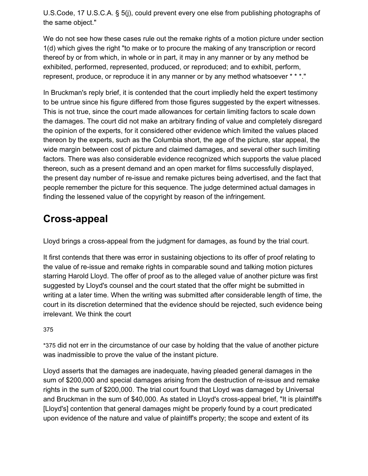U.S.Code, 17 U.S.C.A. § 5(j), could prevent every one else from publishing photographs of the same object."

We do not see how these cases rule out the remake rights of a motion picture under section 1(d) which gives the right "to make or to procure the making of any transcription or record thereof by or from which, in whole or in part, it may in any manner or by any method be exhibited, performed, represented, produced, or reproduced; and to exhibit, perform, represent, produce, or reproduce it in any manner or by any method whatsoever \* \* \*."

In Bruckman's reply brief, it is contended that the court impliedly held the expert testimony to be untrue since his figure differed from those figures suggested by the expert witnesses. This is not true, since the court made allowances for certain limiting factors to scale down the damages. The court did not make an arbitrary finding of value and completely disregard the opinion of the experts, for it considered other evidence which limited the values placed thereon by the experts, such as the Columbia short, the age of the picture, star appeal, the wide margin between cost of picture and claimed damages, and several other such limiting factors. There was also considerable evidence recognized which supports the value placed thereon, such as a present demand and an open market for films successfully displayed, the present day number of re-issue and remake pictures being advertised, and the fact that people remember the picture for this sequence. The judge determined actual damages in finding the lessened value of the copyright by reason of the infringement.

# **Cross-appeal**

Lloyd brings a cross-appeal from the judgment for damages, as found by the trial court.

It first contends that there was error in sustaining objections to its offer of proof relating to the value of re-issue and remake rights in comparable sound and talking motion pictures starring Harold Lloyd. The offer of proof as to the alleged value of another picture was first suggested by Lloyd's counsel and the court stated that the offer might be submitted in writing at a later time. When the writing was submitted after considerable length of time, the court in its discretion determined that the evidence should be rejected, such evidence being irrelevant. We think the court

37[5](https://scholar.google.com/scholar_case?case=10760655899099210600&q=universal+pictures&hl=en&as_sdt=6,33#p375)

\*375 did not err in the circumstance of our case by holding that the value of another picture was inadmissible to prove the value of the instant picture.

Lloyd asserts that the damages are inadequate, having pleaded general damages in the sum of \$200,000 and special damages arising from the destruction of re-issue and remake rights in the sum of \$200,000. The trial court found that Lloyd was damaged by Universal and Bruckman in the sum of \$40,000. As stated in Lloyd's cross-appeal brief, "It is plaintiff's [Lloyd's] contention that general damages might be properly found by a court predicated upon evidence of the nature and value of plaintiff's property; the scope and extent of its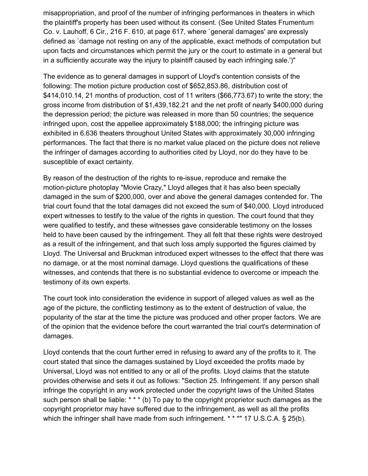misappropriation, and proof of the number of infringing performances in theaters in which the plaintiff's property has been used without its consent. (See United States Frumentum Co. v. Lauhoff, 6 Cir., 216 F. 610, at page 617, where `general damages' are expressly defined as `damage not resting on any of the applicable, exact methods of computation but upon facts and circumstances which permit the jury or the court to estimate in a general but in a sufficiently accurate way the injury to plaintiff caused by each infringing sale.')"

The evidence as to general damages in support of Lloyd's contention consists of the following: The motion picture production cost of \$652,853.86, distribution cost of \$414,010.14, 21 months of production, cost of 11 writers (\$66,773.67) to write the story; the gross income from distribution of \$1,439,182.21 and the net profit of nearly \$400,000 during the depression period; the picture was released in more than 50 countries; the sequence infringed upon, cost the appellee approximately \$188,000; the infringing picture was exhibited in 6,636 theaters throughout United States with approximately 30,000 infringing performances. The fact that there is no market value placed on the picture does not relieve the infringer of damages according to authorities cited by Lloyd, nor do they have to be susceptible of exact certainty.

By reason of the destruction of the rights to re-issue, reproduce and remake the motion-picture photoplay "Movie Crazy," Lloyd alleges that it has also been specially damaged in the sum of \$200,000, over and above the general damages contended for. The trial court found that the total damages did not exceed the sum of \$40,000. Lloyd introduced expert witnesses to testify to the value of the rights in question. The court found that they were qualified to testify, and these witnesses gave considerable testimony on the losses held to have been caused by the infringement. They all felt that these rights were destroyed as a result of the infringement, and that such loss amply supported the figures claimed by Lloyd. The Universal and Bruckman introduced expert witnesses to the effect that there was no damage, or at the most nominal damage. Lloyd questions the qualifications of these witnesses, and contends that there is no substantial evidence to overcome or impeach the testimony of its own experts.

The court took into consideration the evidence in support of alleged values as well as the age of the picture, the conflicting testimony as to the extent of destruction of value, the popularity of the star at the time the picture was produced and other proper factors. We are of the opinion that the evidence before the court warranted the trial court's determination of damages.

Lloyd contends that the court further erred in refusing to award any of the profits to it. The court stated that since the damages sustained by Lloyd exceeded the profits made by Universal, Lloyd was not entitled to any or all of the profits. Lloyd claims that the statute provides otherwise and sets it out as follows: "Section 25. Infringement. If any person shall infringe the copyright in any work protected under the copyright laws of the United States such person shall be liable: \* \* \* (b) To pay to the copyright proprietor such damages as the copyright proprietor may have suffered due to the infringement, as well as all the profits which the infringer shall have made from such infringement. \* \* \*" 17 U.S.C.A. § 25(b).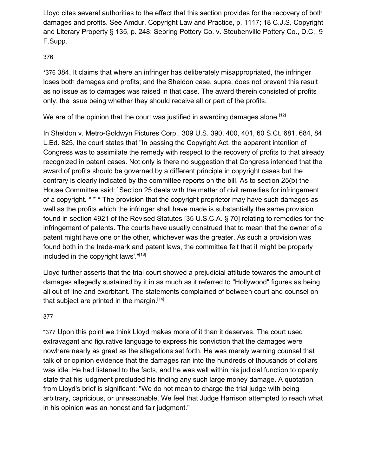Lloyd cites several authorities to the effect that this section provides for the recovery of both damages and profits. See Amdur, Copyright Law and Practice, p. 1117; 18 C.J.S. Copyright and Literary Property § 135, p. 248; Sebring Pottery Co. v. Steubenville Pottery Co., D.C., 9 F.Supp.

### 37[6](https://scholar.google.com/scholar_case?case=10760655899099210600&q=universal+pictures&hl=en&as_sdt=6,33#p376)

\*376 384. It claims that where an infringer has deliberately misappropriated, the infringer loses both damages and profits; and the Sheldon case, supra, does not prevent this result as no issue as to damages was raised in that case. The award therein consisted of profits only, the issue being whether they should receive all or part of the profits.

We are of the opinion that the court was justified in awarding damages alone.<sup>[12]</sup>

In Sheldon v. Metro-Goldwyn Pictures Corp., 309 U.S. 390, 400, 401, 60 S.Ct. 681, 684, 84 L.Ed. 825, the court states that "In passing the Copyright Act, the apparent intention of Congress was to assimilate the remedy with respect to the recovery of profits to that already recognized in patent cases. Not only is there no suggestion that Congress intended that the award of profits should be governed by a different principle in copyright cases but the contrary is clearly indicated by the committee reports on the bill. As to section 25(b) the House Committee said: `Section 25 deals with the matter of civil remedies for infringement of a copyright. \* \* \* The provision that the copyright proprietor may have such damages as well as the profits which the infringer shall have made is substantially the same provision found in section 4921 of the Revised Statutes [35 U.S.C.A. § 70] relating to remedies for the infringement of patents. The courts have usually construed that to mean that the owner of a patent might have one or the other, whichever was the greater. As such a provision was found both in the trade-mark and patent laws, the committee felt that it might be properly included in the copyright laws'."[13]

Lloyd further asserts that the trial court showed a prejudicial attitude towards the amount of damages allegedly sustained by it in as much as it referred to "Hollywood" figures as being all out of line and exorbitant. The statements complained of between court and counsel on that subject are printed in the margin.<sup>[14]</sup>

#### 37[7](https://scholar.google.com/scholar_case?case=10760655899099210600&q=universal+pictures&hl=en&as_sdt=6,33#p377)

\*377 Upon this point we think Lloyd makes more of it than it deserves. The court used extravagant and figurative language to express his conviction that the damages were nowhere nearly as great as the allegations set forth. He was merely warning counsel that talk of or opinion evidence that the damages ran into the hundreds of thousands of dollars was idle. He had listened to the facts, and he was well within his judicial function to openly state that his judgment precluded his finding any such large money damage. A quotation from Lloyd's brief is significant: "We do not mean to charge the trial judge with being arbitrary, capricious, or unreasonable. We feel that Judge Harrison attempted to reach what in his opinion was an honest and fair judgment."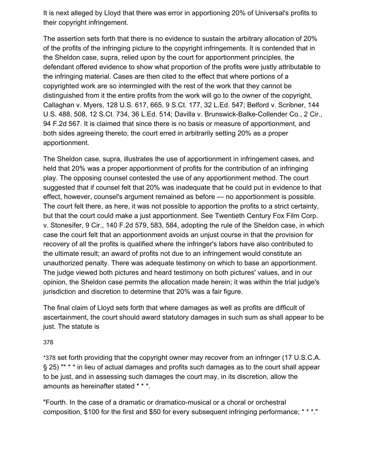It is next alleged by Lloyd that there was error in apportioning 20% of Universal's profits to their copyright infringement.

The assertion sets forth that there is no evidence to sustain the arbitrary allocation of 20% of the profits of the infringing picture to the copyright infringements. It is contended that in the Sheldon case, supra, relied upon by the court for apportionment principles, the defendant offered evidence to show what proportion of the profits were justly attributable to the infringing material. Cases are then cited to the effect that where portions of a copyrighted work are so intermingled with the rest of the work that they cannot be distinguished from it the entire profits from the work will go to the owner of the copyright, Callaghan v. Myers, 128 U.S. 617, 665, 9 S.Ct. 177, 32 L.Ed. 547; Belford v. Scribner, 144 U.S. 488, 508, 12 S.Ct. 734, 36 L.Ed. 514; Davilla v. Brunswick-Balke-Collender Co., 2 Cir., 94 F.2d 567. It is claimed that since there is no basis or measure of apportionment, and both sides agreeing thereto, the court erred in arbitrarily setting 20% as a proper apportionment.

The Sheldon case, supra, illustrates the use of apportionment in infringement cases, and held that 20% was a proper apportionment of profits for the contribution of an infringing play. The opposing counsel contested the use of any apportionment method. The court suggested that if counsel felt that 20% was inadequate that he could put in evidence to that effect, however, counsel's argument remained as before — no apportionment is possible. The court felt there, as here, it was not possible to apportion the profits to a strict certainty, but that the court could make a just apportionment. See Twentieth Century Fox Film Corp. v. Stonesifer, 9 Cir., 140 F.2d 579, 583, 584, adopting the rule of the Sheldon case, in which case the court felt that an apportionment avoids an unjust course in that the provision for recovery of all the profits is qualified where the infringer's labors have also contributed to the ultimate result; an award of profits not due to an infringement would constitute an unauthorized penalty. There was adequate testimony on which to base an apportionment. The judge viewed both pictures and heard testimony on both pictures' values, and in our opinion, the Sheldon case permits the allocation made herein; it was within the trial judge's jurisdiction and discretion to determine that 20% was a fair figure.

The final claim of Lloyd sets forth that where damages as well as profits are difficult of ascertainment, the court should award statutory damages in such sum as shall appear to be just. The statute is

#### 37[8](https://scholar.google.com/scholar_case?case=10760655899099210600&q=universal+pictures&hl=en&as_sdt=6,33#p378)

\*378 set forth providing that the copyright owner may recover from an infringer (17 U.S.C.A. § 25) "\* \* \* in lieu of actual damages and profits such damages as to the court shall appear to be just, and in assessing such damages the court may, in its discretion, allow the amounts as hereinafter stated \* \* \*.

"Fourth. In the case of a dramatic or dramatico-musical or a choral or orchestral composition, \$100 for the first and \$50 for every subsequent infringing performance; \* \* \*."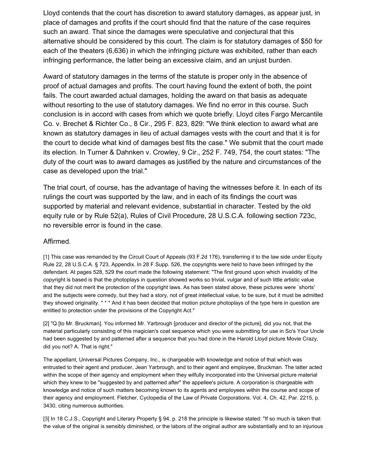Lloyd contends that the court has discretion to award statutory damages, as appear just, in place of damages and profits if the court should find that the nature of the case requires such an award. That since the damages were speculative and conjectural that this alternative should be considered by this court. The claim is for statutory damages of \$50 for each of the theaters (6,636) in which the infringing picture was exhibited, rather than each infringing performance, the latter being an excessive claim, and an unjust burden.

Award of statutory damages in the terms of the statute is proper only in the absence of proof of actual damages and profits. The court having found the extent of both, the point fails. The court awarded actual damages, holding the award on that basis as adequate without resorting to the use of statutory damages. We find no error in this course. Such conclusion is in accord with cases from which we quote briefly. Lloyd cites Fargo Mercantile Co. v. Brechet & Richter Co., 8 Cir., 295 F. 823, 829: "We think election to award what are known as statutory damages in lieu of actual damages vests with the court and that it is for the court to decide what kind of damages best fits the case." We submit that the court made its election. In Turner & Dahnken v. Crowley, 9 Cir., 252 F. 749, 754, the court states: "The duty of the court was to award damages as justified by the nature and circumstances of the case as developed upon the trial."

The trial court, of course, has the advantage of having the witnesses before it. In each of its rulings the court was supported by the law, and in each of its findings the court was supported by material and relevant evidence, substantial in character. Tested by the old equity rule or by Rule 52(a), Rules of Civil Procedure, 28 U.S.C.A. following section 723c, no reversible error is found in the case.

#### Affirmed.

[1] This case was remanded by the Circuit Court of Appeals (93 F.2d 176), transferring it to the law side under Equity Rule 22, 28 U.S.C.A. § 723, Appendix. In 28 F.Supp. 526, the copyrights were held to have been infringed by the defendant. At pages 528, 529 the court made the following statement: "The first ground upon which invalidity of the copyright is based is that the photoplays in question showed works so trivial, vulgar and of such little artistic value that they did not merit the protection of the copyright laws. As has been stated above, these pictures were `shorts' and the subjects were comedy, but they had a story, not of great intellectual value, to be sure, but it must be admitted they showed originality. \* \* \* And it has been decided that motion picture photoplays of the type here in question are entitled to protection under the provisions of the Copyright Act."

[2] "Q [to Mr. Bruckman]. You informed Mr. Yarbrough [producer and director of the picture], did you not, that the material particularly consisting of this magician's coat sequence which you were submitting for use in So's Your Uncle had been suggested by and patterned after a sequence that you had done in the Harold Lloyd picture Movie Crazy, did you not? A. That is right."

The appellant, Universal Pictures Company, Inc., is chargeable with knowledge and notice of that which was entrusted to their agent and producer, Jean Yarbrough, and to their agent and employee, Bruckman. The latter acted within the scope of their agency and employment when they wilfully incorporated into the Universal picture material which they knew to be "suggested by and patterned after" the appellee's picture. A corporation is chargeable with knowledge and notice of such matters becoming known to its agents and employees within the course and scope of their agency and employment. Fletcher, Cyclopedia of the Law of Private Corporations. Vol. 4, Ch. 42, Par. 2215, p. 3430, citing numerous authorities.

[3] In 18 C.J.S., Copyright and Literary Property § 94, p. 218 the principle is likewise stated: "If so much is taken that the value of the original is sensibly diminished, or the labors of the original author are substantially and to an injurious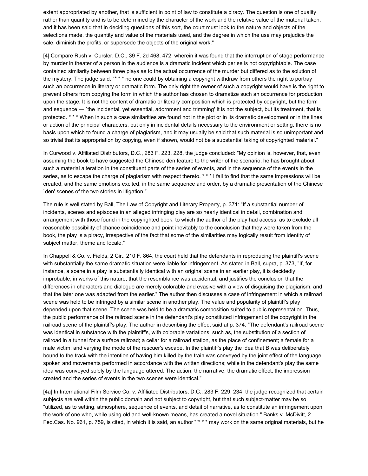extent appropriated by another, that is sufficient in point of law to constitute a piracy. The question is one of quality rather than quantity and is to be determined by the character of the work and the relative value of the material taken, and it has been said that in deciding questions of this sort, the court must look to the nature and objects of the selections made, the quantity and value of the materials used, and the degree in which the use may prejudice the sale, diminish the profits, or supersede the objects of the original work."

[4] Compare Rush v. Oursler, D.C., 39 F. 2d 468, 472, wherein it was found that the interruption of stage performance by murder in theater of a person in the audience is a dramatic incident which per se is not copyrightable. The case contained similarity between three plays as to the actual occurrence of the murder but differed as to the solution of the mystery. The judge said, "\* \* \* no one could by obtaining a copyright withdraw from others the right to portray such an occurrence in literary or dramatic form. The only right the owner of such a copyright would have is the right to prevent others from copying the form in which the author has chosen to dramatize such an occurrence for production upon the stage. It is not the content of dramatic or literary composition which is protected by copyright, but the form and sequence — `the incidental, yet essential, adornment and trimming' It is not the subject, but its treatment, that is protected. \* \* \* When in such a case similarities are found not in the plot or in its dramatic development or in the lines or action of the principal characters, but only in incidental details necessary to the environment or setting, there is no basis upon which to found a charge of plagiarism, and it may usually be said that such material is so unimportant and so trivial that its appropriation by copying, even if shown, would not be a substantial taking of copyrighted material."

In Curwood v. Affiliated Distributors, D.C., 283 F. 223, 228, the judge concluded: "My opinion is, however, that, even assuming the book to have suggested the Chinese den feature to the writer of the scenario, he has brought about such a material alteration in the constituent parts of the series of events, and in the sequence of the events in the series, as to escape the charge of plagiarism with respect thereto. \* \* \* I fail to find that the same impressions will be created, and the same emotions excited, in the same sequence and order, by a dramatic presentation of the Chinese `den' scenes of the two stories in litigation."

The rule is well stated by Ball, The Law of Copyright and Literary Property, p. 371: "If a substantial number of incidents, scenes and episodes in an alleged infringing play are so nearly identical in detail, combination and arrangement with those found in the copyrighted book, to which the author of the play had access, as to exclude all reasonable possibility of chance coincidence and point inevitably to the conclusion that they were taken from the book, the play is a piracy, irrespective of the fact that some of the similarities may logically result from identity of subject matter, theme and locale."

In Chappell & Co. v. Fields, 2 Cir., 210 F. 864, the court held that the defendants in reproducing the plaintiff's scene with substantially the same dramatic situation were liable for infringement. As stated in Ball, supra, p. 373, "If, for instance, a scene in a play is substantially identical with an original scene in an earlier play, it is decidedly improbable, in works of this nature, that the resemblance was accidental, and justifies the conclusion that the differences in characters and dialogue are merely colorable and evasive with a view of disguising the plagiarism, and that the later one was adapted from the earlier." The author then discusses a case of infringement in which a railroad scene was held to be infringed by a similar scene in another play. The value and popularity of plaintiff's play depended upon that scene. The scene was held to be a dramatic composition suited to public representation. Thus, the public performance of the railroad scene in the defendant's play constituted infringement of the copyright in the railroad scene of the plaintiff's play. The author in describing the effect said at p. 374: "The defendant's railroad scene was identical in substance with the plaintiff's, with colorable variations, such as, the substitution of a section of railroad in a tunnel for a surface railroad; a cellar for a railroad station, as the place of confinement; a female for a male victim; and varying the mode of the rescuer's escape. In the plaintiff's play the idea that B was deliberately bound to the track with the intention of having him killed by the train was conveyed by the joint effect of the language spoken and movements performed in accordance with the written directions; while in the defendant's play the same idea was conveyed solely by the language uttered. The action, the narrative, the dramatic effect, the impression created and the series of events in the two scenes were identical."

[4a] In International Film Service Co. v. Affiliated Distributors, D.C., 283 F. 229, 234, the judge recognized that certain subjects are well within the public domain and not subject to copyright, but that such subject-matter may be so "utilized, as to setting, atmosphere, sequence of events, and detail of narrative, as to constitute an infringement upon the work of one who, while using old and well-known means, has created a novel situation." Banks v. McDivitt, 2 Fed.Cas. No. 961, p. 759, is cited, in which it is said, an author "\*\*\* may work on the same original materials, but he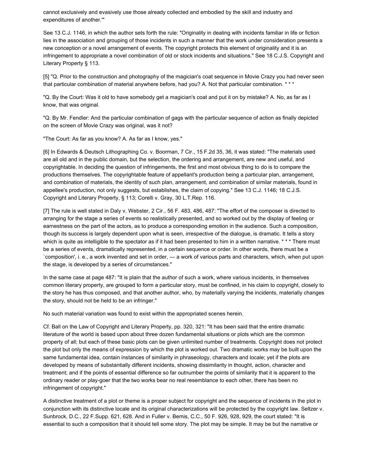cannot exclusively and evasively use those already collected and embodied by the skill and industry and expenditures of another.'"

See 13 C.J. 1146, in which the author sets forth the rule: "Originality in dealing with incidents familiar in life or fiction lies in the association and grouping of those incidents in such a manner that the work under consideration presents a new conception or a novel arrangement of events. The copyright protects this element of originality and it is an infringement to appropriate a novel combination of old or stock incidents and situations." See 18 C.J.S. Copyright and Literary Property § 113.

[5] "Q. Prior to the construction and photography of the magician's coat sequence in Movie Crazy you had never seen that particular combination of material anywhere before, had you? A. Not that particular combination. \* \* \*

"Q. By the Court: Was it old to have somebody get a magician's coat and put it on by mistake? A. No, as far as I know, that was original.

"Q. By Mr. Fendler: And the particular combination of gags with the particular sequence of action as finally depicted on the screen of Movie Crazy was original, was it not?

"The Court: As far as you know? A. As far as I know, yes."

[6] In Edwards & Deutsch Lithographing Co. v. Boorman, 7 Cir., 15 F.2d 35, 36, it was stated: "The materials used are all old and in the public domain, but the selection, the ordering and arrangement, are new and useful, and copyrightable. In deciding the question of infringements, the first and most obvious thing to do is to compare the productions themselves. The copyrightable feature of appellant's production being a particular plan, arrangement, and combination of materials, the identity of such plan, arrangement, and combination of similar materials, found in appellee's production, not only suggests, but establishes, the claim of copying." See 13 C.J. 1146; 18 C.J.S. Copyright and Literary Property, § 113; Corelli v. Gray, 30 L.T.Rep. 116.

[7] The rule is well stated in Daly v. Webster, 2 Cir., 56 F. 483, 486, 487: "The effort of the composer is directed to arranging for the stage a series of events so realistically presented, and so worked out by the display of feeling or earnestness on the part of the actors, as to produce a corresponding emotion in the audience. Such a composition, though its success is largely dependent upon what is seen, irrespective of the dialogue, is dramatic. It tells a story which is quite as intelligible to the spectator as if it had been presented to him in a written narrative. \*\*\* There must be a series of events, dramatically represented, in a certain sequence or order. In other words, there must be a `composition', i. e., a work invented and set in order, — a work of various parts and characters, which, when put upon the stage, is developed by a series of circumstances."

In the same case at page 487: "It is plain that the author of such a work, where various incidents, in themselves common literary property, are grouped to form a particular story, must be confined, in his claim to copyright, closely to the story he has thus composed, and that another author, who, by materially varying the incidents, materially changes the story, should not be held to be an infringer."

No such material variation was found to exist within the appropriated scenes herein.

Cf. Ball on the Law of Copyright and Literary Property, pp. 320, 321: "It has been said that the entire dramatic literature of the world is based upon about three dozen fundamental situations or plots which are the common property of all; but each of these basic plots can be given unlimited number of treatments. Copyright does not protect the plot but only the means of expression by which the plot is worked out. Two dramatic works may be built upon the same fundamental idea, contain instances of similarity in phraseology, characters and locale; yet if the plots are developed by means of substantially different incidents, showing dissimilarity in thought, action, character and treatment; and if the points of essential difference so far outnumber the points of similarity that it is apparent to the ordinary reader or play-goer that the two works bear no real resemblance to each other, there has been no infringement of copyright."

A distinctive treatment of a plot or theme is a proper subject for copyright and the sequence of incidents in the plot in conjunction with its distinctive locale and its original characterizations will be protected by the copyright law. Seltzer v. Sunbrock, D.C., 22 F.Supp. 621, 628. And in Fuller v. Bemis, C.C., 50 F. 926, 928, 929, the court stated: "It is essential to such a composition that it should tell some story. The plot may be simple. It may be but the narrative or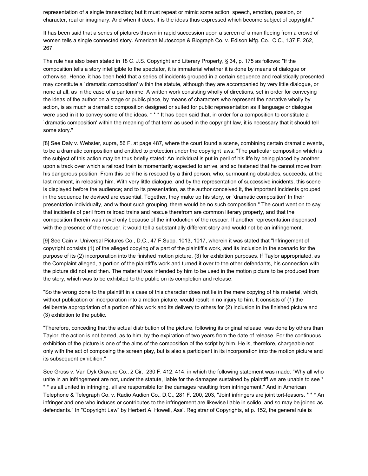representation of a single transaction; but it must repeat or mimic some action, speech, emotion, passion, or character, real or imaginary. And when it does, it is the ideas thus expressed which become subject of copyright."

It has been said that a series of pictures thrown in rapid succession upon a screen of a man fleeing from a crowd of women tells a single connected story. American Mutoscope & Biograph Co. v. Edison Mfg. Co., C.C., 137 F. 262, 267.

The rule has also been stated in 18 C. J.S. Copyright and Literary Property, § 34, p. 175 as follows: "If the composition tells a story intelligible to the spectator, it is immaterial whether it is done by means of dialogue or otherwise. Hence, it has been held that a series of incidents grouped in a certain sequence and realistically presented may constitute a `dramatic composition' within the statute, although they are accompanied by very little dialogue, or none at all, as in the case of a pantomime. A written work consisting wholly of directions, set in order for conveying the ideas of the author on a stage or public place, by means of characters who represent the narrative wholly by action, is as much a dramatic composition designed or suited for public representation as if language or dialogue were used in it to convey some of the ideas. \*\*\* It has been said that, in order for a composition to constitute a `dramatic composition' within the meaning of that term as used in the copyright law, it is necessary that it should tell some story."

[8] See Daly v. Webster, supra, 56 F. at page 487, where the court found a scene, combining certain dramatic events, to be a dramatic composition and entitled to protection under the copyright laws: "The particular composition which is the subject of this action may be thus briefly stated: An individual is put in peril of his life by being placed by another upon a track over which a railroad train is momentarily expected to arrive, and so fastened that he cannot move from his dangerous position. From this peril he is rescued by a third person, who, surmounting obstacles, succeeds, at the last moment, in releasing him. With very little dialogue, and by the representation of successive incidents, this scene is displayed before the audience; and to its presentation, as the author conceived it, the important incidents grouped in the sequence he devised are essential. Together, they make up his story, or `dramatic composition' In their presentation individually, and without such grouping, there would be no such composition." The court went on to say that incidents of peril from railroad trains and rescue therefrom are common literary property, and that the composition therein was novel only because of the introduction of the rescuer. If another representation dispensed with the presence of the rescuer, it would tell a substantially different story and would not be an infringement.

[9] See Cain v. Universal Pictures Co., D.C., 47 F.Supp. 1013, 1017, wherein it was stated that "Infringement of copyright consists (1) of the alleged copying of a part of the plaintiff's work, and its inclusion in the scenario for the purpose of its (2) incorporation into the finished motion picture, (3) for exhibition purposes. If Taylor appropriated, as the Complaint alleged, a portion of the plaintiff's work and turned it over to the other defendants, his connection with the picture did not end then. The material was intended by him to be used in the motion picture to be produced from the story, which was to be exhibited to the public on its completion and release.

"So the wrong done to the plaintiff in a case of this character does not lie in the mere copying of his material, which, without publication or incorporation into a motion picture, would result in no injury to him. It consists of (1) the deliberate appropriation of a portion of his work and its delivery to others for (2) inclusion in the finished picture and (3) exhibition to the public.

"Therefore, conceding that the actual distribution of the picture, following its original release, was done by others than Taylor, the action is not barred, as to him, by the expiration of two years from the date of release. For the continuous exhibition of the picture is one of the aims of the composition of the script by him. He is, therefore, chargeable not only with the act of composing the screen play, but is also a participant in its incorporation into the motion picture and its subsequent exhibition."

See Gross v. Van Dyk Gravure Co., 2 Cir., 230 F. 412, 414, in which the following statement was made: "Why all who unite in an infringement are not, under the statute, liable for the damages sustained by plaintiff we are unable to see \* \* \* as all united in infringing, all are responsible for the damages resulting from infringement." And in American Telephone & Telegraph Co. v. Radio Audion Co., D.C., 281 F. 200, 203, "Joint infringers are joint tort-feasors. \* \* \* An infringer and one who induces or contributes to the infringement are likewise liable in solido, and so may be joined as defendants." In "Copyright Law" by Herbert A. Howell, Ass'. Registrar of Copyrights, at p. 152, the general rule is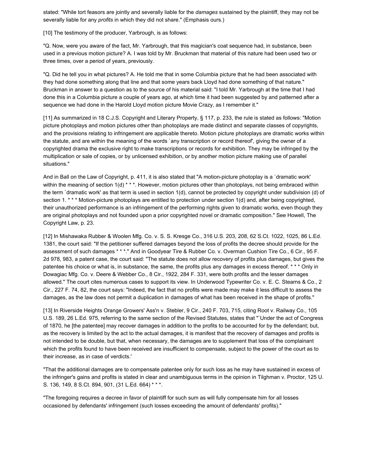stated: "While tort feasors are jointly and severally liable for the *damages* sustained by the plaintiff, they may not be severally liable for any *profits* in which they did not share." (Emphasis ours.)

[10] The testimony of the producer, Yarbrough, is as follows:

"Q. Now, were you aware of the fact, Mr. Yarbrough, that this magician's coat sequence had, in substance, been used in a previous motion picture? A. I was told by Mr. Bruckman that material of this nature had been used two or three times, over a period of years, previously.

"Q. Did he tell you in what pictures? A. He told me that in some Columbia picture that he had been associated with they had done something along that line and that some years back Lloyd had done something of that nature." Bruckman in answer to a question as to the source of his material said: "I told Mr. Yarbrough at the time that I had done this in a Columbia picture a couple of years ago, at which time it had been suggested by and patterned after a sequence we had done in the Harold Lloyd motion picture Movie Crazy, as I remember it."

[11] As summarized in 18 C.J.S. Copyright and Literary Property, § 117, p. 233, the rule is stated as follows: "Motion picture photoplays and motion pictures other than photoplays are made distinct and separate classes of copyrights, and the provisions relating to infringement are applicable thereto. Motion picture photoplays are dramatic works within the statute, and are within the meaning of the words 'any transcription or record thereof', giving the owner of a copyrighted drama the exclusive right to make transcriptions or records for exhibition. They may be infringed by the multiplication or sale of copies, or by unlicensed exhibition, or by another motion picture making use of parallel situations."

And in Ball on the Law of Copyright, p. 411, it is also stated that "A motion-picture photoplay is a `dramatic work' within the meaning of section 1(d) \* \* \*. However, motion pictures other than photoplays, not being embraced within the term `dramatic work' as that term is used in section 1(d), cannot be protected by copyright under subdivision (d) of section 1. \* \* \* Motion-picture photoplays are entitled to protection under section 1(d) and, after being copyrighted, their unauthorized performance is an infringement of the performing rights given to dramatic works, even though they are original photoplays and not founded upon a prior copyrighted novel or dramatic composition." See Howell, The Copyright Law, p. 23.

[12] In Mishawaka Rubber & Woolen Mfg. Co. v. S. S. Kresge Co., 316 U.S. 203, 208, 62 S.Ct. 1022, 1025, 86 L.Ed. 1381, the court said: "If the petitioner suffered damages beyond the loss of profits the decree should provide for the assessment of such damages \* \* \*." And in Goodyear Tire & Rubber Co. v. Overman Cushion Tire Co., 6 Cir., 95 F. 2d 978, 983, a patent case, the court said: "The statute does not allow recovery of profits plus damages, but gives the patentee his choice or what is, in substance, the same, the profits plus any damages in excess thereof. \* \* \* Only in Dowagiac Mfg. Co. v. Deere & Webber Co., 8 Cir., 1922, 284 F. 331, were both profits and the lesser damages allowed." The court cites numerous cases to support its view. In Underwood Typewriter Co. v. E. C. Stearns & Co., 2 Cir., 227 F. 74, 82, the court says: "Indeed, the fact that no profits were made may make it less difficult to assess the damages, as the law does not permit a duplication in damages of what has been received in the shape of profits."

[13] In Riverside Heights Orange Growers' Ass'n v. Stebler, 9 Cir., 240 F. 703, 715, citing Root v. Railway Co., 105 U.S. 189, 26 L.Ed. 975, referring to the same section of the Revised Statutes, states that "`Under the act of Congress of 1870, he [the patentee] may recover damages in addition to the profits to be accounted for by the defendant; but, as the recovery is limited by the act to the actual damages, it is manifest that the recovery of damages and profits is not intended to be double, but that, when necessary, the damages are to supplement that loss of the complainant which the profits found to have been received are insufficient to compensate, subject to the power of the court as to their increase, as in case of verdicts.'

"That the additional damages are to compensate patentee only for such loss as he may have sustained in excess of the infringer's gains and profits is stated in clear and unambiguous terms in the opinion in Tilghman v. Proctor, 125 U. S. 136, 149, 8 S.Ct. 894, 901, (31 L.Ed. 664) \* \* \*.

"The foregoing requires a decree in favor of plaintiff for such sum as will fully compensate him for all losses occasioned by defendants' infringement (such losses exceeding the amount of defendants' profits)."